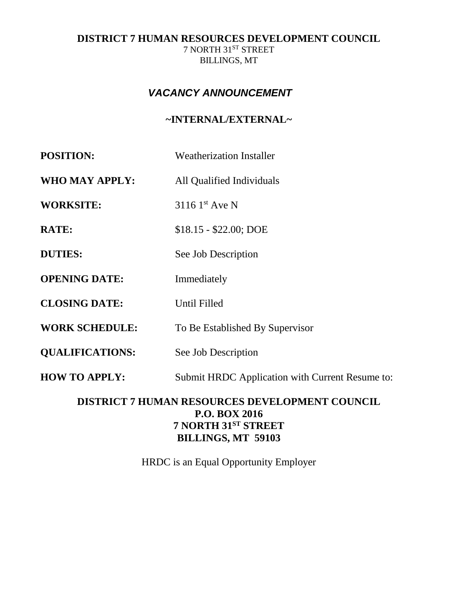## **DISTRICT 7 HUMAN RESOURCES DEVELOPMENT COUNCIL** 7 NORTH  $31^\mathrm{ST}$  STREET BILLINGS, MT

# *VACANCY ANNOUNCEMENT*

# **~INTERNAL/EXTERNAL~**

| <b>POSITION:</b>                                      | <b>Weatherization Installer</b>                                          |
|-------------------------------------------------------|--------------------------------------------------------------------------|
| <b>WHO MAY APPLY:</b>                                 | All Qualified Individuals                                                |
| <b>WORKSITE:</b>                                      | 3116 1st Ave N                                                           |
| <b>RATE:</b>                                          | $$18.15 - $22.00; DOE$                                                   |
| <b>DUTIES:</b>                                        | See Job Description                                                      |
| <b>OPENING DATE:</b>                                  | Immediately                                                              |
| <b>CLOSING DATE:</b>                                  | <b>Until Filled</b>                                                      |
| <b>WORK SCHEDULE:</b>                                 | To Be Established By Supervisor                                          |
| <b>QUALIFICATIONS:</b>                                | See Job Description                                                      |
| <b>HOW TO APPLY:</b>                                  | Submit HRDC Application with Current Resume to:                          |
| <b>DISTRICT 7 HUMAN RESOURCES DEVELOPMENT COUNCIL</b> |                                                                          |
|                                                       | <b>P.O. BOX 2016</b><br>7 NORTH 31ST STREET<br><b>BILLINGS, MT 59103</b> |

HRDC is an Equal Opportunity Employer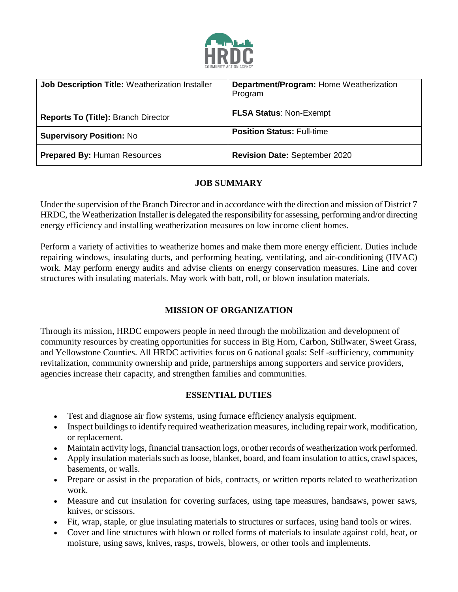

| Job Description Title: Weatherization Installer | Department/Program: Home Weatherization |
|-------------------------------------------------|-----------------------------------------|
|                                                 | Program                                 |
|                                                 |                                         |
| <b>Reports To (Title): Branch Director</b>      | <b>FLSA Status: Non-Exempt</b>          |
| <b>Supervisory Position: No</b>                 | <b>Position Status: Full-time</b>       |
| <b>Prepared By: Human Resources</b>             | <b>Revision Date: September 2020</b>    |

#### **JOB SUMMARY**

Under the supervision of the Branch Director and in accordance with the direction and mission of District 7 HRDC, the Weatherization Installer is delegated the responsibility for assessing, performing and/or directing energy efficiency and installing weatherization measures on low income client homes.

Perform a variety of activities to weatherize homes and make them more energy efficient. Duties include repairing windows, insulating ducts, and performing heating, ventilating, and air-conditioning (HVAC) work. May perform energy audits and advise clients on energy conservation measures. Line and cover structures with insulating materials. May work with batt, roll, or blown insulation materials.

## **MISSION OF ORGANIZATION**

Through its mission, HRDC empowers people in need through the mobilization and development of community resources by creating opportunities for success in Big Horn, Carbon, Stillwater, Sweet Grass, and Yellowstone Counties. All HRDC activities focus on 6 national goals: Self -sufficiency, community revitalization, community ownership and pride, partnerships among supporters and service providers, agencies increase their capacity, and strengthen families and communities.

## **ESSENTIAL DUTIES**

- Test and diagnose air flow systems, using furnace efficiency analysis equipment.
- Inspect buildings to identify required weatherization measures, including repair work, modification, or replacement.
- Maintain activity logs, financial transaction logs, or other records of weatherization work performed.
- Apply insulation materials such as loose, blanket, board, and foam insulation to attics, crawl spaces, basements, or walls.
- Prepare or assist in the preparation of bids, contracts, or written reports related to weatherization work.
- Measure and cut insulation for covering surfaces, using tape measures, handsaws, power saws, knives, or scissors.
- Fit, wrap, staple, or glue insulating materials to structures or surfaces, using hand tools or wires.
- Cover and line structures with blown or rolled forms of materials to insulate against cold, heat, or moisture, using saws, knives, rasps, trowels, blowers, or other tools and implements.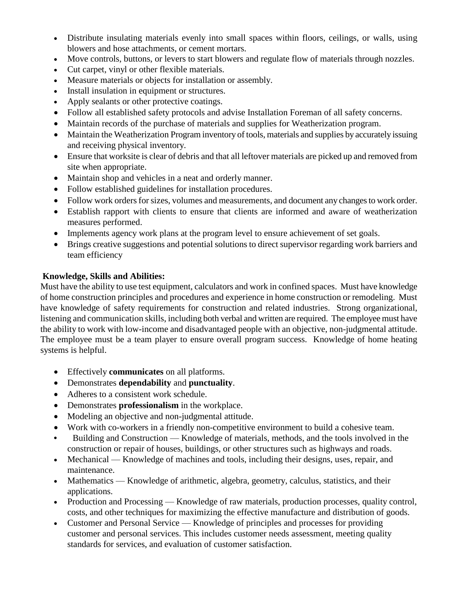- Distribute insulating materials evenly into small spaces within floors, ceilings, or walls, using blowers and hose attachments, or cement mortars.
- Move controls, buttons, or levers to start blowers and regulate flow of materials through nozzles.
- Cut carpet, vinyl or other flexible materials.
- Measure materials or objects for installation or assembly.
- Install insulation in equipment or structures.
- Apply sealants or other protective coatings.
- Follow all established safety protocols and advise Installation Foreman of all safety concerns.
- Maintain records of the purchase of materials and supplies for Weatherization program.
- Maintain the Weatherization Program inventory of tools, materials and supplies by accurately issuing and receiving physical inventory.
- Ensure that worksite is clear of debris and that all leftover materials are picked up and removed from site when appropriate.
- Maintain shop and vehicles in a neat and orderly manner.
- Follow established guidelines for installation procedures.
- Follow work orders for sizes, volumes and measurements, and document any changes to work order.
- Establish rapport with clients to ensure that clients are informed and aware of weatherization measures performed.
- Implements agency work plans at the program level to ensure achievement of set goals.
- Brings creative suggestions and potential solutions to direct supervisor regarding work barriers and team efficiency

#### **Knowledge, Skills and Abilities:**

Must have the ability to use test equipment, calculators and work in confined spaces. Must have knowledge of home construction principles and procedures and experience in home construction or remodeling. Must have knowledge of safety requirements for construction and related industries. Strong organizational, listening and communication skills, including both verbal and written are required. The employee must have the ability to work with low-income and disadvantaged people with an objective, non-judgmental attitude. The employee must be a team player to ensure overall program success. Knowledge of home heating systems is helpful.

- Effectively **communicates** on all platforms.
- Demonstrates **dependability** and **punctuality**.
- Adheres to a consistent work schedule.
- Demonstrates **professionalism** in the workplace.
- Modeling an objective and non-judgmental attitude.
- Work with co-workers in a friendly non-competitive environment to build a cohesive team.
- **•** Building and Construction Knowledge of materials, methods, and the tools involved in the construction or repair of houses, buildings, or other structures such as highways and roads.
- Mechanical Knowledge of machines and tools, including their designs, uses, repair, and maintenance.
- Mathematics Knowledge of arithmetic, algebra, geometry, calculus, statistics, and their applications.
- Production and Processing Knowledge of raw materials, production processes, quality control, costs, and other techniques for maximizing the effective manufacture and distribution of goods.
- Customer and Personal Service Knowledge of principles and processes for providing customer and personal services. This includes customer needs assessment, meeting quality standards for services, and evaluation of customer satisfaction.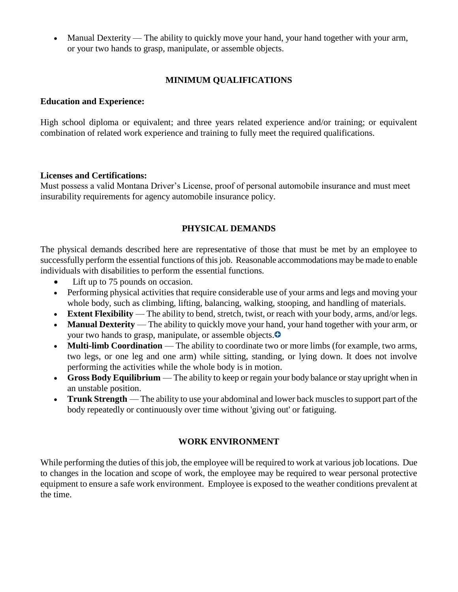Manual Dexterity — The ability to quickly move your hand, your hand together with your arm, or your two hands to grasp, manipulate, or assemble objects.

#### **MINIMUM QUALIFICATIONS**

#### **Education and Experience:**

High school diploma or equivalent; and three years related experience and/or training; or equivalent combination of related work experience and training to fully meet the required qualifications.

#### **Licenses and Certifications:**

Must possess a valid Montana Driver's License, proof of personal automobile insurance and must meet insurability requirements for agency automobile insurance policy.

#### **PHYSICAL DEMANDS**

The physical demands described here are representative of those that must be met by an employee to successfully perform the essential functions of this job. Reasonable accommodations may be made to enable individuals with disabilities to perform the essential functions.

- Lift up to 75 pounds on occasion.
- Performing physical activities that require considerable use of your arms and legs and moving your whole body, such as climbing, lifting, balancing, walking, stooping, and handling of materials.
- **Extent Flexibility** The ability to bend, stretch, twist, or reach with your body, arms, and/or legs.
- **Manual Dexterity** The ability to quickly move your hand, your hand together with your arm, or your two hands to grasp, manipulate, or assemble objects[.](https://www.onetonline.org/link/moreinfo/abilities/1.A.2.a.2?r=summary&j=47-2131.00)
- **Multi-limb Coordination** The ability to coordinate two or more limbs (for example, two arms, two legs, or one leg and one arm) while sitting, standing, or lying down. It does not involve performing the activities while the whole body is in motion.
- **Gross Body Equilibrium** The ability to keep or regain your body balance or stay upright when in an unstable position.
- **Trunk Strength** The ability to use your abdominal and lower back muscles to support part of the body repeatedly or continuously over time without 'giving out' or fatiguing.

#### **WORK ENVIRONMENT**

While performing the duties of this job, the employee will be required to work at various job locations. Due to changes in the location and scope of work, the employee may be required to wear personal protective equipment to ensure a safe work environment. Employee is exposed to the weather conditions prevalent at the time.